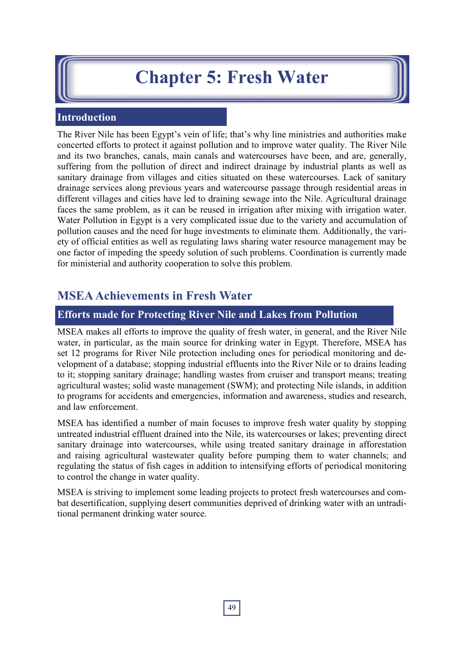# **Chapter 5: Fresh Water**

# **Introduction**

The River Nile has been Egypt's vein of life; that's why line ministries and authorities make concerted efforts to protect it against pollution and to improve water quality. The River Nile and its two branches, canals, main canals and watercourses have been, and are, generally, suffering from the pollution of direct and indirect drainage by industrial plants as well as sanitary drainage from villages and cities situated on these watercourses. Lack of sanitary drainage services along previous years and watercourse passage through residential areas in different villages and cities have led to draining sewage into the Nile. Agricultural drainage faces the same problem, as it can be reused in irrigation after mixing with irrigation water. Water Pollution in Egypt is a very complicated issue due to the variety and accumulation of pollution causes and the need for huge investments to eliminate them. Additionally, the variety of official entities as well as regulating laws sharing water resource management may be one factor of impeding the speedy solution of such problems. Coordination is currently made for ministerial and authority cooperation to solve this problem.

# **MSEA Achievements in Fresh Water**

#### **Efforts made for Protecting River Nile and Lakes from Pollution**

MSEA makes all efforts to improve the quality of fresh water, in general, and the River Nile water, in particular, as the main source for drinking water in Egypt. Therefore, MSEA has set 12 programs for River Nile protection including ones for periodical monitoring and development of a database; stopping industrial effluents into the River Nile or to drains leading to it; stopping sanitary drainage; handling wastes from cruiser and transport means; treating agricultural wastes; solid waste management (SWM); and protecting Nile islands, in addition to programs for accidents and emergencies, information and awareness, studies and research, and law enforcement.

MSEA has identified a number of main focuses to improve fresh water quality by stopping untreated industrial effluent drained into the Nile, its watercourses or lakes; preventing direct sanitary drainage into watercourses, while using treated sanitary drainage in afforestation and raising agricultural wastewater quality before pumping them to water channels; and regulating the status of fish cages in addition to intensifying efforts of periodical monitoring to control the change in water quality.

MSEA is striving to implement some leading projects to protect fresh watercourses and combat desertification, supplying desert communities deprived of drinking water with an untraditional permanent drinking water source.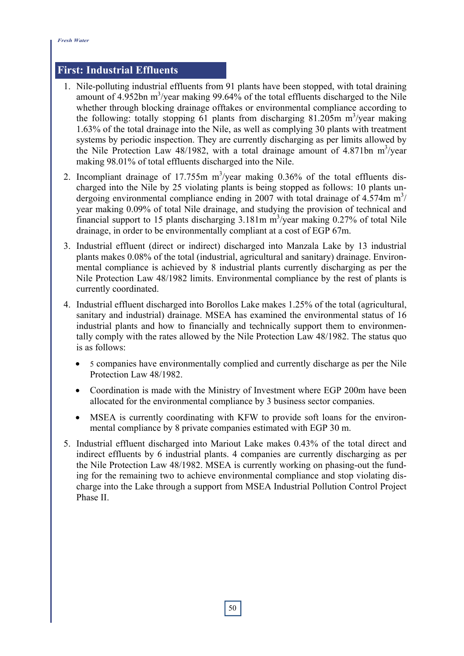### **First: Industrial Effluents**

- 1. Nile-polluting industrial effluents from 91 plants have been stopped, with total draining amount of  $4.952$ bn m<sup>3</sup>/year making 99.64% of the total effluents discharged to the Nile whether through blocking drainage offtakes or environmental compliance according to the following: totally stopping  $61$  plants from discharging 81.205m m<sup>3</sup>/year making 1.63% of the total drainage into the Nile, as well as complying 30 plants with treatment systems by periodic inspection. They are currently discharging as per limits allowed by the Nile Protection Law  $48/1982$ , with a total drainage amount of  $4.871$ bn m<sup>3</sup>/year making 98.01% of total effluents discharged into the Nile.
- 2. Incompliant drainage of 17.755m  $m^3$ /year making 0.36% of the total effluents discharged into the Nile by 25 violating plants is being stopped as follows: 10 plants undergoing environmental compliance ending in 2007 with total drainage of  $4.574$ m m<sup>3</sup>/ year making 0.09% of total Nile drainage, and studying the provision of technical and financial support to 15 plants discharging  $3.181$ m m<sup>3</sup>/year making 0.27% of total Nile drainage, in order to be environmentally compliant at a cost of EGP 67m.
- 3. Industrial effluent (direct or indirect) discharged into Manzala Lake by 13 industrial plants makes 0.08% of the total (industrial, agricultural and sanitary) drainage. Environmental compliance is achieved by 8 industrial plants currently discharging as per the Nile Protection Law 48/1982 limits. Environmental compliance by the rest of plants is currently coordinated.
- 4. Industrial effluent discharged into Borollos Lake makes 1.25% of the total (agricultural, sanitary and industrial) drainage. MSEA has examined the environmental status of 16 industrial plants and how to financially and technically support them to environmentally comply with the rates allowed by the Nile Protection Law 48/1982. The status quo is as follows:
	- 5 companies have environmentally complied and currently discharge as per the Nile Protection Law 48/1982.
	- Coordination is made with the Ministry of Investment where EGP 200m have been allocated for the environmental compliance by 3 business sector companies.
	- MSEA is currently coordinating with KFW to provide soft loans for the environmental compliance by 8 private companies estimated with EGP 30 m.
- 5. Industrial effluent discharged into Mariout Lake makes 0.43% of the total direct and indirect effluents by 6 industrial plants. 4 companies are currently discharging as per the Nile Protection Law 48/1982. MSEA is currently working on phasing-out the funding for the remaining two to achieve environmental compliance and stop violating discharge into the Lake through a support from MSEA Industrial Pollution Control Project Phase II.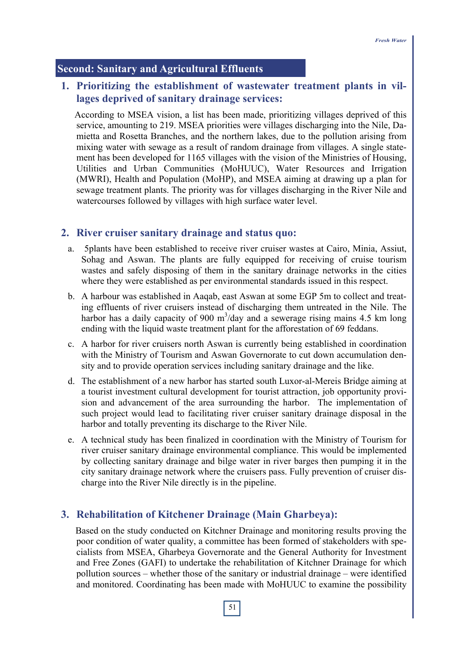#### **Second: Sanitary and Agricultural Effluents**

# **1. Prioritizing the establishment of wastewater treatment plants in villages deprived of sanitary drainage services:**

According to MSEA vision, a list has been made, prioritizing villages deprived of this service, amounting to 219. MSEA priorities were villages discharging into the Nile, Damietta and Rosetta Branches, and the northern lakes, due to the pollution arising from mixing water with sewage as a result of random drainage from villages. A single statement has been developed for 1165 villages with the vision of the Ministries of Housing, Utilities and Urban Communities (MoHUUC), Water Resources and Irrigation (MWRI), Health and Population (MoHP), and MSEA aiming at drawing up a plan for sewage treatment plants. The priority was for villages discharging in the River Nile and watercourses followed by villages with high surface water level.

#### **2. River cruiser sanitary drainage and status quo:**

- a. 5 plants have been established to receive river cruiser wastes at Cairo, Minia, Assiut, Sohag and Aswan. The plants are fully equipped for receiving of cruise tourism wastes and safely disposing of them in the sanitary drainage networks in the cities where they were established as per environmental standards issued in this respect.
- b. A harbour was established in Aaqab, east Aswan at some EGP 5m to collect and treating effluents of river cruisers instead of discharging them untreated in the Nile. The harbor has a daily capacity of 900  $m^3$ /day and a sewerage rising mains 4.5 km long ending with the liquid waste treatment plant for the afforestation of 69 feddans.
- c. A harbor for river cruisers north Aswan is currently being established in coordination with the Ministry of Tourism and Aswan Governorate to cut down accumulation density and to provide operation services including sanitary drainage and the like.
- d. The establishment of a new harbor has started south Luxor-al-Mereis Bridge aiming at a tourist investment cultural development for tourist attraction, job opportunity provision and advancement of the area surrounding the harbor. The implementation of such project would lead to facilitating river cruiser sanitary drainage disposal in the harbor and totally preventing its discharge to the River Nile.
- e. A technical study has been finalized in coordination with the Ministry of Tourism for river cruiser sanitary drainage environmental compliance. This would be implemented by collecting sanitary drainage and bilge water in river barges then pumping it in the city sanitary drainage network where the cruisers pass. Fully prevention of cruiser discharge into the River Nile directly is in the pipeline.

#### **3. Rehabilitation of Kitchener Drainage (Main Gharbeya):**

Based on the study conducted on Kitchner Drainage and monitoring results proving the poor condition of water quality, a committee has been formed of stakeholders with specialists from MSEA, Gharbeya Governorate and the General Authority for Investment and Free Zones (GAFI) to undertake the rehabilitation of Kitchner Drainage for which pollution sources – whether those of the sanitary or industrial drainage – were identified and monitored. Coordinating has been made with MoHUUC to examine the possibility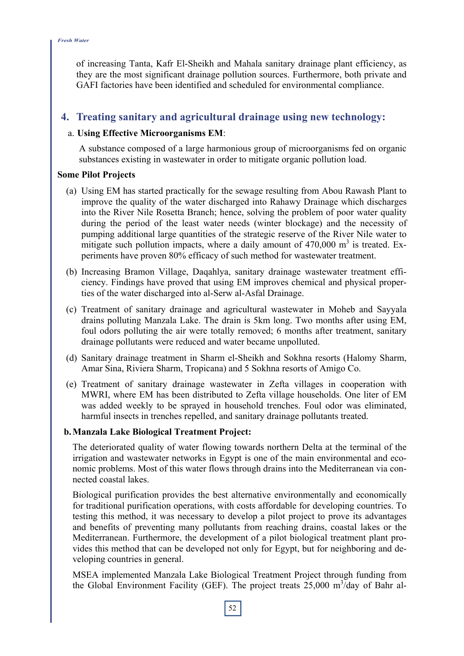of increasing Tanta, Kafr El-Sheikh and Mahala sanitary drainage plant efficiency, as they are the most significant drainage pollution sources. Furthermore, both private and GAFI factories have been identified and scheduled for environmental compliance.

# **4. Treating sanitary and agricultural drainage using new technology:**

#### a. **Using Effective Microorganisms EM**:

A substance composed of a large harmonious group of microorganisms fed on organic substances existing in wastewater in order to mitigate organic pollution load.

#### **Some Pilot Projects**

- (a) Using EM has started practically for the sewage resulting from Abou Rawash Plant to improve the quality of the water discharged into Rahawy Drainage which discharges into the River Nile Rosetta Branch; hence, solving the problem of poor water quality during the period of the least water needs (winter blockage) and the necessity of pumping additional large quantities of the strategic reserve of the River Nile water to mitigate such pollution impacts, where a daily amount of  $470,000 \text{ m}^3$  is treated. Experiments have proven 80% efficacy of such method for wastewater treatment.
- (b) Increasing Bramon Village, Daqahlya, sanitary drainage wastewater treatment efficiency. Findings have proved that using EM improves chemical and physical properties of the water discharged into al-Serw al-Asfal Drainage.
- (c) Treatment of sanitary drainage and agricultural wastewater in Moheb and Sayyala drains polluting Manzala Lake. The drain is 5km long. Two months after using EM, foul odors polluting the air were totally removed; 6 months after treatment, sanitary drainage pollutants were reduced and water became unpolluted.
- (d) Sanitary drainage treatment in Sharm el-Sheikh and Sokhna resorts (Halomy Sharm, Amar Sina, Riviera Sharm, Tropicana) and 5 Sokhna resorts of Amigo Co.
- (e) Treatment of sanitary drainage wastewater in Zefta villages in cooperation with MWRI, where EM has been distributed to Zefta village households. One liter of EM was added weekly to be sprayed in household trenches. Foul odor was eliminated, harmful insects in trenches repelled, and sanitary drainage pollutants treated.

#### **b. Manzala Lake Biological Treatment Project:**

The deteriorated quality of water flowing towards northern Delta at the terminal of the irrigation and wastewater networks in Egypt is one of the main environmental and economic problems. Most of this water flows through drains into the Mediterranean via connected coastal lakes.

Biological purification provides the best alternative environmentally and economically for traditional purification operations, with costs affordable for developing countries. To testing this method, it was necessary to develop a pilot project to prove its advantages and benefits of preventing many pollutants from reaching drains, coastal lakes or the Mediterranean. Furthermore, the development of a pilot biological treatment plant provides this method that can be developed not only for Egypt, but for neighboring and developing countries in general.

MSEA implemented Manzala Lake Biological Treatment Project through funding from the Global Environment Facility (GEF). The project treats  $25,000 \text{ m}^3/\text{day}$  of Bahr al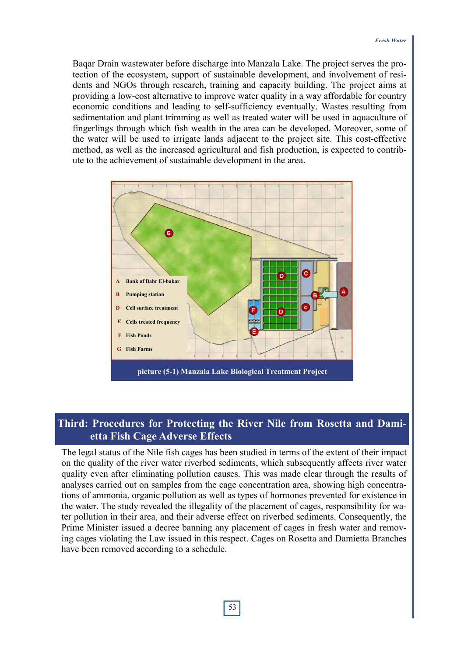Baqar Drain wastewater before discharge into Manzala Lake. The project serves the protection of the ecosystem, support of sustainable development, and involvement of residents and NGOs through research, training and capacity building. The project aims at providing a low-cost alternative to improve water quality in a way affordable for country economic conditions and leading to self-sufficiency eventually. Wastes resulting from sedimentation and plant trimming as well as treated water will be used in aquaculture of fingerlings through which fish wealth in the area can be developed. Moreover, some of the water will be used to irrigate lands adjacent to the project site. This cost-effective method, as well as the increased agricultural and fish production, is expected to contribute to the achievement of sustainable development in the area.



# **Third: Procedures for Protecting the River Nile from Rosetta and Damietta Fish Cage Adverse Effects**

The legal status of the Nile fish cages has been studied in terms of the extent of their impact on the quality of the river water riverbed sediments, which subsequently affects river water quality even after eliminating pollution causes. This was made clear through the results of analyses carried out on samples from the cage concentration area, showing high concentrations of ammonia, organic pollution as well as types of hormones prevented for existence in the water. The study revealed the illegality of the placement of cages, responsibility for water pollution in their area, and their adverse effect on riverbed sediments. Consequently, the Prime Minister issued a decree banning any placement of cages in fresh water and removing cages violating the Law issued in this respect. Cages on Rosetta and Damietta Branches have been removed according to a schedule.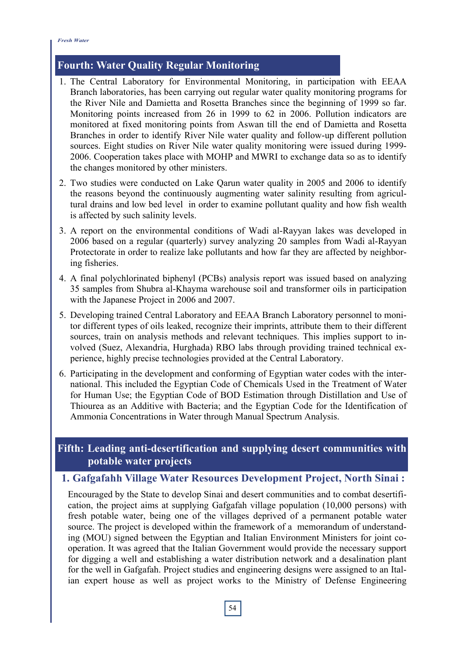#### *Fresh Water*

# **Fourth: Water Quality Regular Monitoring**

- 1. The Central Laboratory for Environmental Monitoring, in participation with EEAA Branch laboratories, has been carrying out regular water quality monitoring programs for the River Nile and Damietta and Rosetta Branches since the beginning of 1999 so far. Monitoring points increased from 26 in 1999 to 62 in 2006. Pollution indicators are monitored at fixed monitoring points from Aswan till the end of Damietta and Rosetta Branches in order to identify River Nile water quality and follow-up different pollution sources. Eight studies on River Nile water quality monitoring were issued during 1999- 2006. Cooperation takes place with MOHP and MWRI to exchange data so as to identify the changes monitored by other ministers.
- 2. Two studies were conducted on Lake Qarun water quality in 2005 and 2006 to identify the reasons beyond the continuously augmenting water salinity resulting from agricultural drains and low bed level in order to examine pollutant quality and how fish wealth is affected by such salinity levels.
- 3. A report on the environmental conditions of Wadi al-Rayyan lakes was developed in 2006 based on a regular (quarterly) survey analyzing 20 samples from Wadi al-Rayyan Protectorate in order to realize lake pollutants and how far they are affected by neighboring fisheries.
- 4. A final polychlorinated biphenyl (PCBs) analysis report was issued based on analyzing 35 samples from Shubra al-Khayma warehouse soil and transformer oils in participation with the Japanese Project in 2006 and 2007.
- 5. Developing trained Central Laboratory and EEAA Branch Laboratory personnel to monitor different types of oils leaked, recognize their imprints, attribute them to their different sources, train on analysis methods and relevant techniques. This implies support to involved (Suez, Alexandria, Hurghada) RBO labs through providing trained technical experience, highly precise technologies provided at the Central Laboratory.
- 6. Participating in the development and conforming of Egyptian water codes with the international. This included the Egyptian Code of Chemicals Used in the Treatment of Water for Human Use; the Egyptian Code of BOD Estimation through Distillation and Use of Thiourea as an Additive with Bacteria; and the Egyptian Code for the Identification of Ammonia Concentrations in Water through Manual Spectrum Analysis.

# **Fifth: Leading anti-desertification and supplying desert communities with potable water projects**

# **1. Gafgafahh Village Water Resources Development Project, North Sinai :**

Encouraged by the State to develop Sinai and desert communities and to combat desertification, the project aims at supplying Gafgafah village population (10,000 persons) with fresh potable water, being one of the villages deprived of a permanent potable water source. The project is developed within the framework of a memorandum of understanding (MOU) signed between the Egyptian and Italian Environment Ministers for joint cooperation. It was agreed that the Italian Government would provide the necessary support for digging a well and establishing a water distribution network and a desalination plant for the well in Gafgafah. Project studies and engineering designs were assigned to an Italian expert house as well as project works to the Ministry of Defense Engineering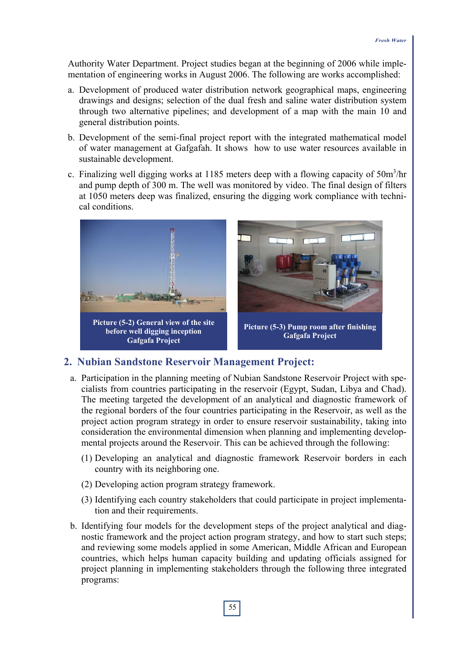Authority Water Department. Project studies began at the beginning of 2006 while implementation of engineering works in August 2006. The following are works accomplished:

- a. Development of produced water distribution network geographical maps, engineering drawings and designs; selection of the dual fresh and saline water distribution system through two alternative pipelines; and development of a map with the main 10 and general distribution points.
- b. Development of the semi-final project report with the integrated mathematical model of water management at Gafgafah. It shows how to use water resources available in sustainable development.
- c. Finalizing well digging works at 1185 meters deep with a flowing capacity of  $50m^3/hr$ and pump depth of 300 m. The well was monitored by video. The final design of filters at 1050 meters deep was finalized, ensuring the digging work compliance with technical conditions.



## **2. Nubian Sandstone Reservoir Management Project:**

- a. Participation in the planning meeting of Nubian Sandstone Reservoir Project with specialists from countries participating in the reservoir (Egypt, Sudan, Libya and Chad). The meeting targeted the development of an analytical and diagnostic framework of the regional borders of the four countries participating in the Reservoir, as well as the project action program strategy in order to ensure reservoir sustainability, taking into consideration the environmental dimension when planning and implementing developmental projects around the Reservoir. This can be achieved through the following:
	- (1) Developing an analytical and diagnostic framework Reservoir borders in each country with its neighboring one.
	- (2) Developing action program strategy framework.
	- (3) Identifying each country stakeholders that could participate in project implementation and their requirements.
- b. Identifying four models for the development steps of the project analytical and diagnostic framework and the project action program strategy, and how to start such steps; and reviewing some models applied in some American, Middle African and European countries, which helps human capacity building and updating officials assigned for project planning in implementing stakeholders through the following three integrated programs: